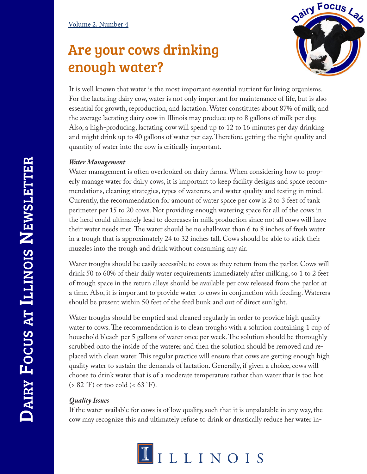## Are your cows drinking enough water?



It is well known that water is the most important essential nutrient for living organisms. For the lactating dairy cow, water is not only important for maintenance of life, but is also essential for growth, reproduction, and lactation. Water constitutes about 87% of milk, and the average lactating dairy cow in Illinois may produce up to 8 gallons of milk per day. Also, a high-producing, lactating cow will spend up to 12 to 16 minutes per day drinking and might drink up to 40 gallons of water per day. Therefore, getting the right quality and quantity of water into the cow is critically important.

## *Water Management*

Water management is often overlooked on dairy farms. When considering how to properly manage water for dairy cows, it is important to keep facility designs and space recommendations, cleaning strategies, types of waterers, and water quality and testing in mind. Currently, the recommendation for amount of water space per cow is 2 to 3 feet of tank perimeter per 15 to 20 cows. Not providing enough watering space for all of the cows in the herd could ultimately lead to decreases in milk production since not all cows will have their water needs met. The water should be no shallower than 6 to 8 inches of fresh water in a trough that is approximately 24 to 32 inches tall. Cows should be able to stick their muzzles into the trough and drink without consuming any air.

Water troughs should be easily accessible to cows as they return from the parlor. Cows will drink 50 to 60% of their daily water requirements immediately after milking, so 1 to 2 feet of trough space in the return alleys should be available per cow released from the parlor at a time. Also, it is important to provide water to cows in conjunction with feeding. Waterers should be present within 50 feet of the feed bunk and out of direct sunlight.

Water troughs should be emptied and cleaned regularly in order to provide high quality water to cows. The recommendation is to clean troughs with a solution containing 1 cup of household bleach per 5 gallons of water once per week. The solution should be thoroughly scrubbed onto the inside of the waterer and then the solution should be removed and replaced with clean water. This regular practice will ensure that cows are getting enough high quality water to sustain the demands of lactation. Generally, if given a choice, cows will choose to drink water that is of a moderate temperature rather than water that is too hot  $($  > 82 °F) or too cold  $( $63$  °F).$ 

## *Quality Issues*

If the water available for cows is of low quality, such that it is unpalatable in any way, the cow may recognize this and ultimately refuse to drink or drastically reduce her water in-